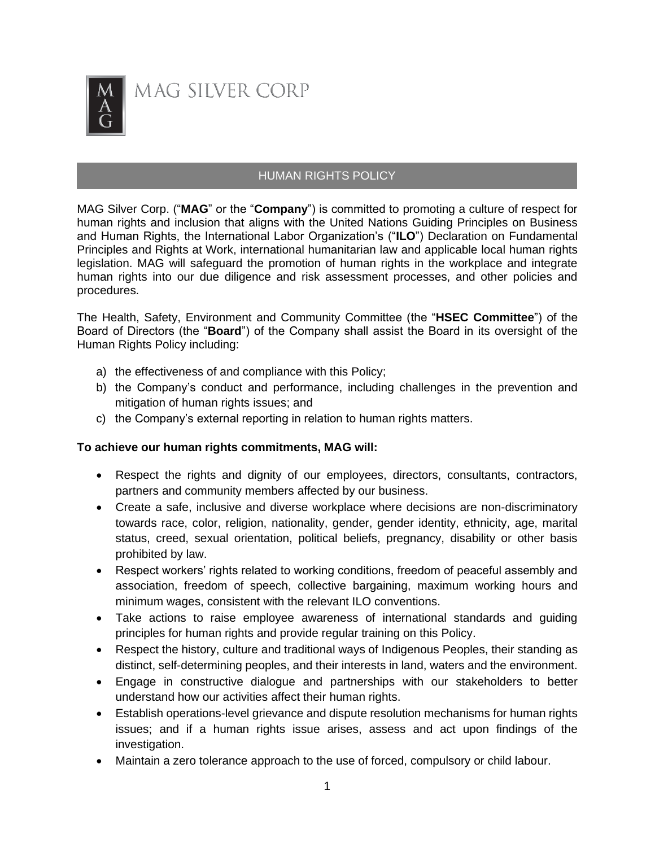

# HUMAN RIGHTS POLICY

MAG Silver Corp. ("**MAG**" or the "**Company**") is committed to promoting a culture of respect for human rights and inclusion that aligns with the United Nations Guiding Principles on Business and Human Rights, the International Labor Organization's ("**ILO**") Declaration on Fundamental Principles and Rights at Work, international humanitarian law and applicable local human rights legislation. MAG will safeguard the promotion of human rights in the workplace and integrate human rights into our due diligence and risk assessment processes, and other policies and procedures.

The Health, Safety, Environment and Community Committee (the "**HSEC Committee**") of the Board of Directors (the "**Board**") of the Company shall assist the Board in its oversight of the Human Rights Policy including:

- a) the effectiveness of and compliance with this Policy;
- b) the Company's conduct and performance, including challenges in the prevention and mitigation of human rights issues; and
- c) the Company's external reporting in relation to human rights matters.

# **To achieve our human rights commitments, MAG will:**

- Respect the rights and dignity of our employees, directors, consultants, contractors, partners and community members affected by our business.
- Create a safe, inclusive and diverse workplace where decisions are non-discriminatory towards race, color, religion, nationality, gender, gender identity, ethnicity, age, marital status, creed, sexual orientation, political beliefs, pregnancy, disability or other basis prohibited by law.
- Respect workers' rights related to working conditions, freedom of peaceful assembly and association, freedom of speech, collective bargaining, maximum working hours and minimum wages, consistent with the relevant ILO conventions.
- Take actions to raise employee awareness of international standards and guiding principles for human rights and provide regular training on this Policy.
- Respect the history, culture and traditional ways of Indigenous Peoples, their standing as distinct, self-determining peoples, and their interests in land, waters and the environment.
- Engage in constructive dialogue and partnerships with our stakeholders to better understand how our activities affect their human rights.
- Establish operations-level grievance and dispute resolution mechanisms for human rights issues; and if a human rights issue arises, assess and act upon findings of the investigation.
- Maintain a zero tolerance approach to the use of forced, compulsory or child labour.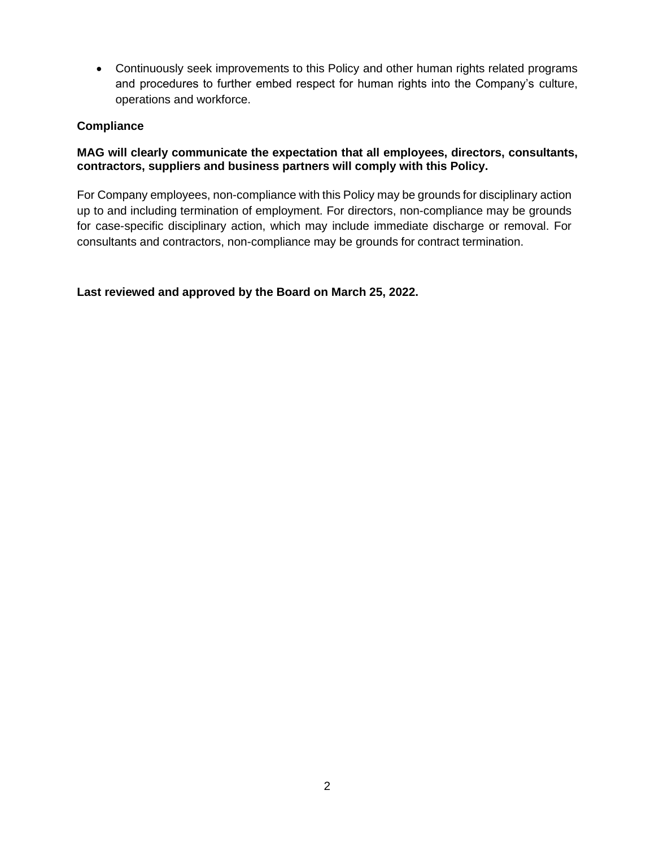• Continuously seek improvements to this Policy and other human rights related programs and procedures to further embed respect for human rights into the Company's culture, operations and workforce.

#### **Compliance**

### **MAG will clearly communicate the expectation that all employees, directors, consultants, contractors, suppliers and business partners will comply with this Policy.**

For Company employees, non-compliance with this Policy may be grounds for disciplinary action up to and including termination of employment. For directors, non-compliance may be grounds for case-specific disciplinary action, which may include immediate discharge or removal. For consultants and contractors, non-compliance may be grounds for contract termination.

**Last reviewed and approved by the Board on March 25, 2022.**